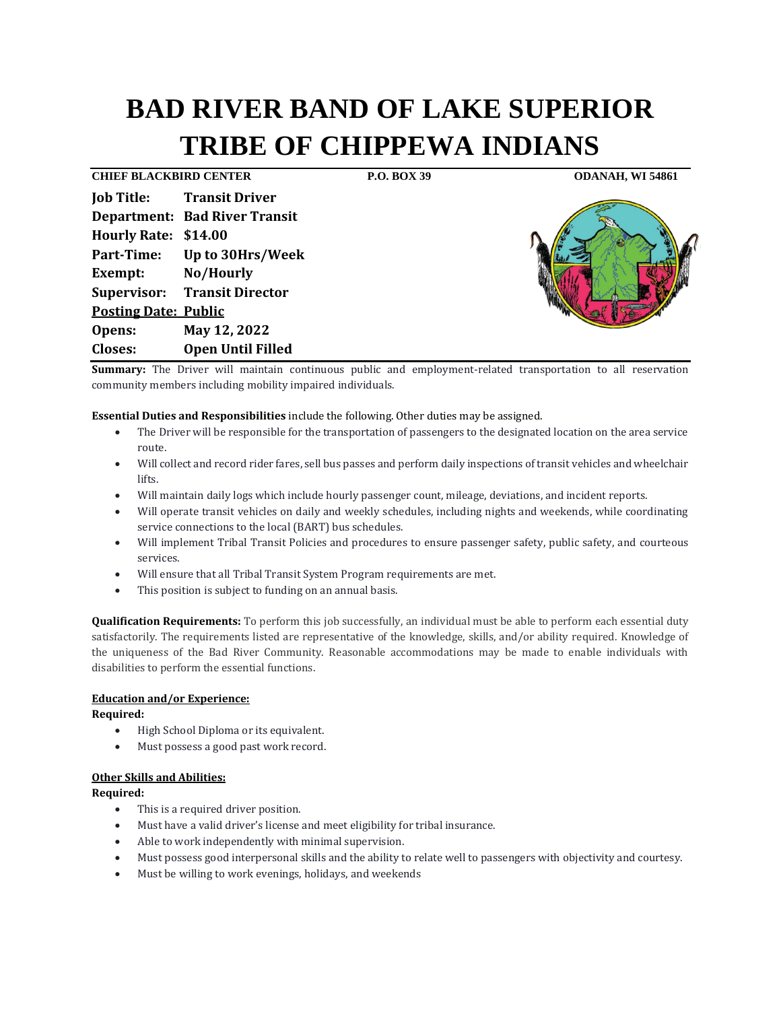# **BAD RIVER BAND OF LAKE SUPERIOR TRIBE OF CHIPPEWA INDIANS**

**CHIEF BLACKBIRD CENTER P.O. BOX 39 ODANAH, WI 54861 Job Title: Transit Driver Department: Bad River Transit Hourly Rate: \$14.00 Part-Time: Up to 30Hrs/Week Exempt: No/Hourly Supervisor: Transit Director Posting Date: Public Opens: May 12, 2022 Closes: Open Until Filled**

**Summary:** The Driver will maintain continuous public and employment-related transportation to all reservation community members including mobility impaired individuals.

## **Essential Duties and Responsibilities** include the following. Other duties may be assigned.

- The Driver will be responsible for the transportation of passengers to the designated location on the area service route.
- Will collect and record rider fares, sell bus passes and perform daily inspections of transit vehicles and wheelchair lifts.
- Will maintain daily logs which include hourly passenger count, mileage, deviations, and incident reports.
- Will operate transit vehicles on daily and weekly schedules, including nights and weekends, while coordinating service connections to the local (BART) bus schedules.
- Will implement Tribal Transit Policies and procedures to ensure passenger safety, public safety, and courteous services.
- Will ensure that all Tribal Transit System Program requirements are met.
- This position is subject to funding on an annual basis.

**Qualification Requirements:** To perform this job successfully, an individual must be able to perform each essential duty satisfactorily. The requirements listed are representative of the knowledge, skills, and/or ability required. Knowledge of the uniqueness of the Bad River Community. Reasonable accommodations may be made to enable individuals with disabilities to perform the essential functions.

### **Education and/or Experience:**

**Required:**

- High School Diploma or its equivalent.
- Must possess a good past work record.

### **Other Skills and Abilities:**

**Required:**

- This is a required driver position.
- Must have a valid driver's license and meet eligibility for tribal insurance.
- Able to work independently with minimal supervision.
- Must possess good interpersonal skills and the ability to relate well to passengers with objectivity and courtesy.
- Must be willing to work evenings, holidays, and weekends